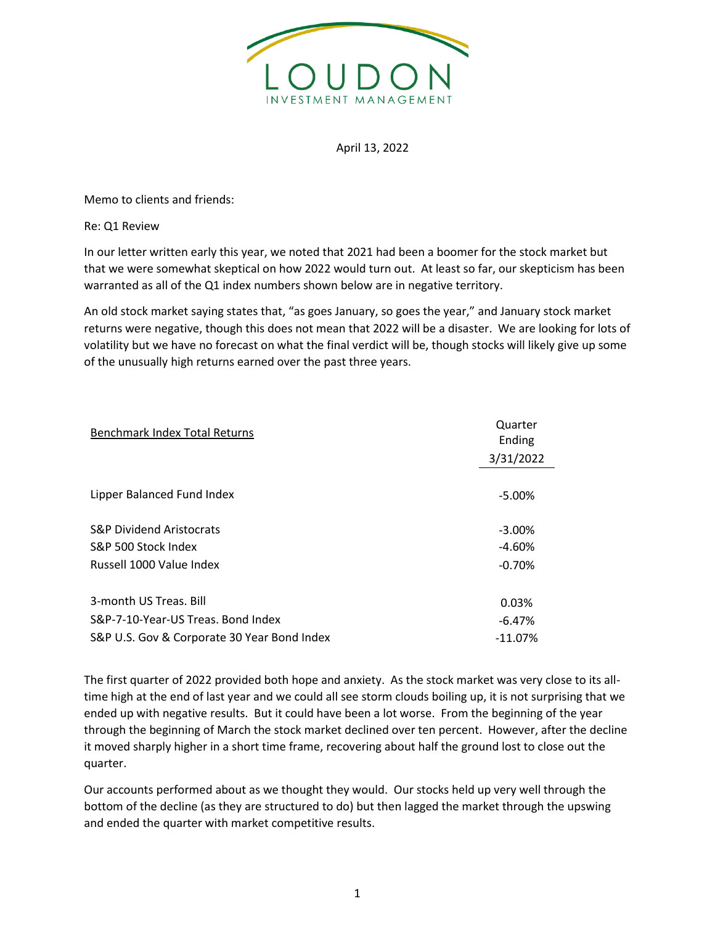

## April 13, 2022

Memo to clients and friends:

Re: Q1 Review

In our letter written early this year, we noted that 2021 had been a boomer for the stock market but that we were somewhat skeptical on how 2022 would turn out. At least so far, our skepticism has been warranted as all of the Q1 index numbers shown below are in negative territory.

An old stock market saying states that, "as goes January, so goes the year," and January stock market returns were negative, though this does not mean that 2022 will be a disaster. We are looking for lots of volatility but we have no forecast on what the final verdict will be, though stocks will likely give up some of the unusually high returns earned over the past three years.

| <b>Benchmark Index Total Returns</b>        | Quarter<br>Ending |
|---------------------------------------------|-------------------|
|                                             | 3/31/2022         |
|                                             |                   |
| Lipper Balanced Fund Index                  | $-5.00\%$         |
|                                             |                   |
| <b>S&amp;P Dividend Aristocrats</b>         | $-3.00\%$         |
| S&P 500 Stock Index                         | $-4.60%$          |
| Russell 1000 Value Index                    | $-0.70%$          |
|                                             |                   |
| 3-month US Treas, Bill                      | 0.03%             |
| S&P-7-10-Year-US Treas. Bond Index          | $-6.47%$          |
| S&P U.S. Gov & Corporate 30 Year Bond Index | $-11.07%$         |

The first quarter of 2022 provided both hope and anxiety. As the stock market was very close to its alltime high at the end of last year and we could all see storm clouds boiling up, it is not surprising that we ended up with negative results. But it could have been a lot worse. From the beginning of the year through the beginning of March the stock market declined over ten percent. However, after the decline it moved sharply higher in a short time frame, recovering about half the ground lost to close out the quarter.

Our accounts performed about as we thought they would. Our stocks held up very well through the bottom of the decline (as they are structured to do) but then lagged the market through the upswing and ended the quarter with market competitive results.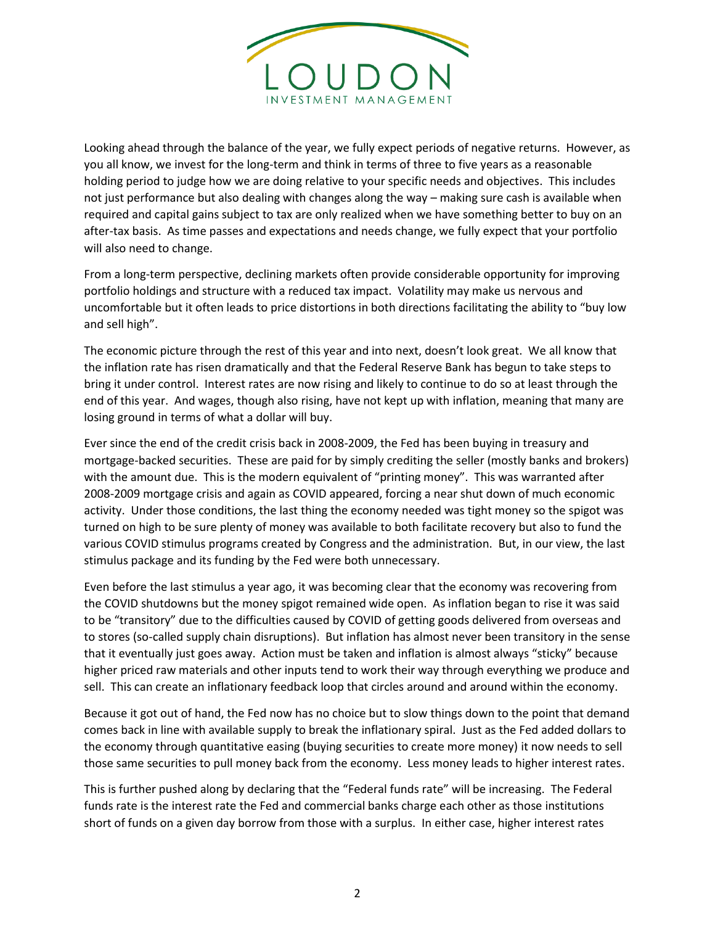

Looking ahead through the balance of the year, we fully expect periods of negative returns. However, as you all know, we invest for the long-term and think in terms of three to five years as a reasonable holding period to judge how we are doing relative to your specific needs and objectives. This includes not just performance but also dealing with changes along the way – making sure cash is available when required and capital gains subject to tax are only realized when we have something better to buy on an after-tax basis. As time passes and expectations and needs change, we fully expect that your portfolio will also need to change.

From a long-term perspective, declining markets often provide considerable opportunity for improving portfolio holdings and structure with a reduced tax impact. Volatility may make us nervous and uncomfortable but it often leads to price distortions in both directions facilitating the ability to "buy low and sell high".

The economic picture through the rest of this year and into next, doesn't look great. We all know that the inflation rate has risen dramatically and that the Federal Reserve Bank has begun to take steps to bring it under control. Interest rates are now rising and likely to continue to do so at least through the end of this year. And wages, though also rising, have not kept up with inflation, meaning that many are losing ground in terms of what a dollar will buy.

Ever since the end of the credit crisis back in 2008-2009, the Fed has been buying in treasury and mortgage-backed securities. These are paid for by simply crediting the seller (mostly banks and brokers) with the amount due. This is the modern equivalent of "printing money". This was warranted after 2008-2009 mortgage crisis and again as COVID appeared, forcing a near shut down of much economic activity. Under those conditions, the last thing the economy needed was tight money so the spigot was turned on high to be sure plenty of money was available to both facilitate recovery but also to fund the various COVID stimulus programs created by Congress and the administration. But, in our view, the last stimulus package and its funding by the Fed were both unnecessary.

Even before the last stimulus a year ago, it was becoming clear that the economy was recovering from the COVID shutdowns but the money spigot remained wide open. As inflation began to rise it was said to be "transitory" due to the difficulties caused by COVID of getting goods delivered from overseas and to stores (so-called supply chain disruptions). But inflation has almost never been transitory in the sense that it eventually just goes away. Action must be taken and inflation is almost always "sticky" because higher priced raw materials and other inputs tend to work their way through everything we produce and sell. This can create an inflationary feedback loop that circles around and around within the economy.

Because it got out of hand, the Fed now has no choice but to slow things down to the point that demand comes back in line with available supply to break the inflationary spiral. Just as the Fed added dollars to the economy through quantitative easing (buying securities to create more money) it now needs to sell those same securities to pull money back from the economy. Less money leads to higher interest rates.

This is further pushed along by declaring that the "Federal funds rate" will be increasing. The Federal funds rate is the interest rate the Fed and commercial banks charge each other as those institutions short of funds on a given day borrow from those with a surplus. In either case, higher interest rates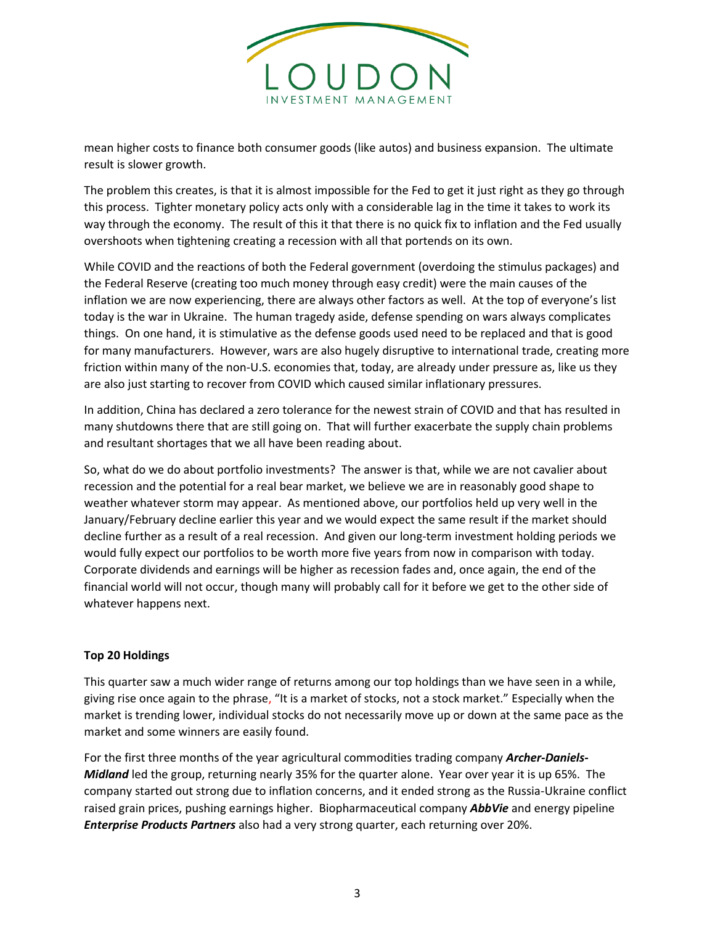

mean higher costs to finance both consumer goods (like autos) and business expansion. The ultimate result is slower growth.

The problem this creates, is that it is almost impossible for the Fed to get it just right as they go through this process. Tighter monetary policy acts only with a considerable lag in the time it takes to work its way through the economy. The result of this it that there is no quick fix to inflation and the Fed usually overshoots when tightening creating a recession with all that portends on its own.

While COVID and the reactions of both the Federal government (overdoing the stimulus packages) and the Federal Reserve (creating too much money through easy credit) were the main causes of the inflation we are now experiencing, there are always other factors as well. At the top of everyone's list today is the war in Ukraine. The human tragedy aside, defense spending on wars always complicates things. On one hand, it is stimulative as the defense goods used need to be replaced and that is good for many manufacturers. However, wars are also hugely disruptive to international trade, creating more friction within many of the non-U.S. economies that, today, are already under pressure as, like us they are also just starting to recover from COVID which caused similar inflationary pressures.

In addition, China has declared a zero tolerance for the newest strain of COVID and that has resulted in many shutdowns there that are still going on. That will further exacerbate the supply chain problems and resultant shortages that we all have been reading about.

So, what do we do about portfolio investments? The answer is that, while we are not cavalier about recession and the potential for a real bear market, we believe we are in reasonably good shape to weather whatever storm may appear. As mentioned above, our portfolios held up very well in the January/February decline earlier this year and we would expect the same result if the market should decline further as a result of a real recession. And given our long-term investment holding periods we would fully expect our portfolios to be worth more five years from now in comparison with today. Corporate dividends and earnings will be higher as recession fades and, once again, the end of the financial world will not occur, though many will probably call for it before we get to the other side of whatever happens next.

## **Top 20 Holdings**

This quarter saw a much wider range of returns among our top holdings than we have seen in a while, giving rise once again to the phrase, "It is a market of stocks, not a stock market." Especially when the market is trending lower, individual stocks do not necessarily move up or down at the same pace as the market and some winners are easily found.

For the first three months of the year agricultural commodities trading company *Archer-Daniels-Midland* led the group, returning nearly 35% for the quarter alone. Year over year it is up 65%. The company started out strong due to inflation concerns, and it ended strong as the Russia-Ukraine conflict raised grain prices, pushing earnings higher. Biopharmaceutical company *AbbVie* and energy pipeline *Enterprise Products Partners* also had a very strong quarter, each returning over 20%.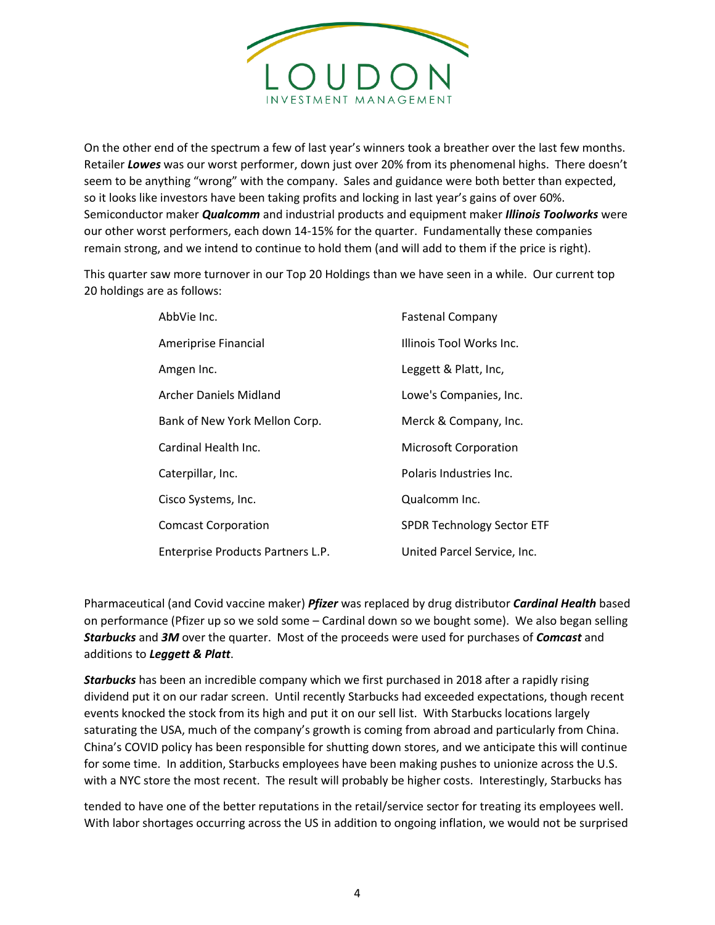

On the other end of the spectrum a few of last year's winners took a breather over the last few months. Retailer *Lowes* was our worst performer, down just over 20% from its phenomenal highs. There doesn't seem to be anything "wrong" with the company. Sales and guidance were both better than expected, so it looks like investors have been taking profits and locking in last year's gains of over 60%. Semiconductor maker *Qualcomm* and industrial products and equipment maker *Illinois Toolworks* were our other worst performers, each down 14-15% for the quarter. Fundamentally these companies remain strong, and we intend to continue to hold them (and will add to them if the price is right).

This quarter saw more turnover in our Top 20 Holdings than we have seen in a while. Our current top 20 holdings are as follows:

| AbbVie Inc.                       | <b>Fastenal Company</b>           |
|-----------------------------------|-----------------------------------|
| Ameriprise Financial              | Illinois Tool Works Inc.          |
| Amgen Inc.                        | Leggett & Platt, Inc,             |
| Archer Daniels Midland            | Lowe's Companies, Inc.            |
| Bank of New York Mellon Corp.     | Merck & Company, Inc.             |
| Cardinal Health Inc.              | <b>Microsoft Corporation</b>      |
| Caterpillar, Inc.                 | Polaris Industries Inc.           |
| Cisco Systems, Inc.               | Qualcomm Inc.                     |
| <b>Comcast Corporation</b>        | <b>SPDR Technology Sector ETF</b> |
| Enterprise Products Partners L.P. | United Parcel Service, Inc.       |

Pharmaceutical (and Covid vaccine maker) *Pfizer* was replaced by drug distributor *Cardinal Health* based on performance (Pfizer up so we sold some – Cardinal down so we bought some). We also began selling *Starbucks* and *3M* over the quarter. Most of the proceeds were used for purchases of *Comcast* and additions to *Leggett & Platt*.

*Starbucks* has been an incredible company which we first purchased in 2018 after a rapidly rising dividend put it on our radar screen. Until recently Starbucks had exceeded expectations, though recent events knocked the stock from its high and put it on our sell list. With Starbucks locations largely saturating the USA, much of the company's growth is coming from abroad and particularly from China. China's COVID policy has been responsible for shutting down stores, and we anticipate this will continue for some time. In addition, Starbucks employees have been making pushes to unionize across the U.S. with a NYC store the most recent. The result will probably be higher costs. Interestingly, Starbucks has

tended to have one of the better reputations in the retail/service sector for treating its employees well. With labor shortages occurring across the US in addition to ongoing inflation, we would not be surprised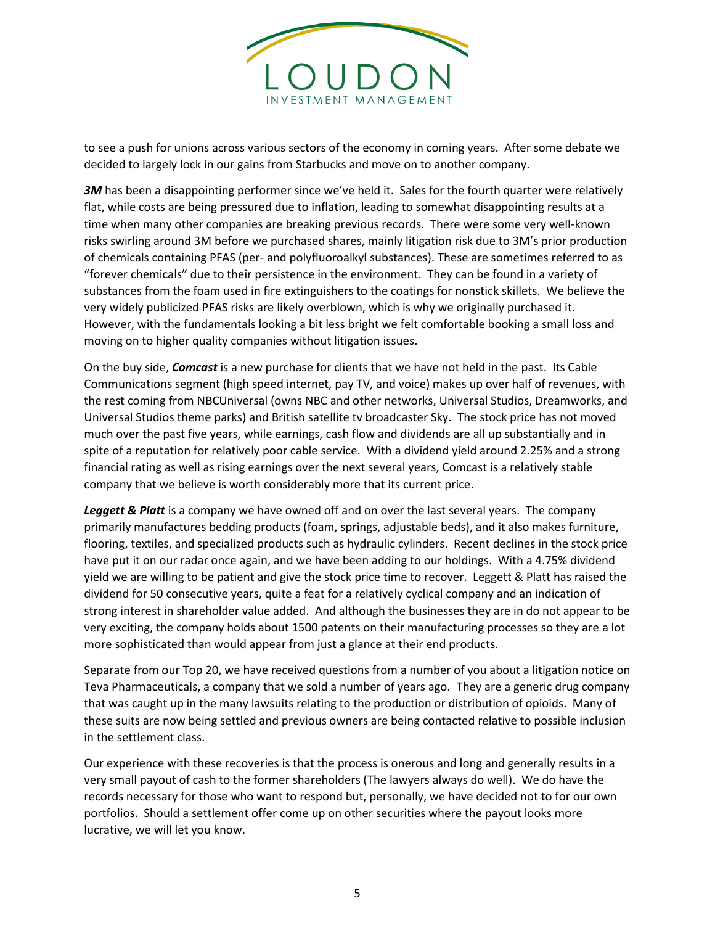

to see a push for unions across various sectors of the economy in coming years. After some debate we decided to largely lock in our gains from Starbucks and move on to another company.

**3M** has been a disappointing performer since we've held it. Sales for the fourth quarter were relatively flat, while costs are being pressured due to inflation, leading to somewhat disappointing results at a time when many other companies are breaking previous records. There were some very well-known risks swirling around 3M before we purchased shares, mainly litigation risk due to 3M's prior production of chemicals containing PFAS (per- and polyfluoroalkyl substances). These are sometimes referred to as "forever chemicals" due to their persistence in the environment. They can be found in a variety of substances from the foam used in fire extinguishers to the coatings for nonstick skillets. We believe the very widely publicized PFAS risks are likely overblown, which is why we originally purchased it. However, with the fundamentals looking a bit less bright we felt comfortable booking a small loss and moving on to higher quality companies without litigation issues.

On the buy side, *Comcast* is a new purchase for clients that we have not held in the past. Its Cable Communications segment (high speed internet, pay TV, and voice) makes up over half of revenues, with the rest coming from NBCUniversal (owns NBC and other networks, Universal Studios, Dreamworks, and Universal Studios theme parks) and British satellite tv broadcaster Sky. The stock price has not moved much over the past five years, while earnings, cash flow and dividends are all up substantially and in spite of a reputation for relatively poor cable service. With a dividend yield around 2.25% and a strong financial rating as well as rising earnings over the next several years, Comcast is a relatively stable company that we believe is worth considerably more that its current price.

*Leggett & Platt* is a company we have owned off and on over the last several years. The company primarily manufactures bedding products (foam, springs, adjustable beds), and it also makes furniture, flooring, textiles, and specialized products such as hydraulic cylinders. Recent declines in the stock price have put it on our radar once again, and we have been adding to our holdings. With a 4.75% dividend yield we are willing to be patient and give the stock price time to recover. Leggett & Platt has raised the dividend for 50 consecutive years, quite a feat for a relatively cyclical company and an indication of strong interest in shareholder value added. And although the businesses they are in do not appear to be very exciting, the company holds about 1500 patents on their manufacturing processes so they are a lot more sophisticated than would appear from just a glance at their end products.

Separate from our Top 20, we have received questions from a number of you about a litigation notice on Teva Pharmaceuticals, a company that we sold a number of years ago. They are a generic drug company that was caught up in the many lawsuits relating to the production or distribution of opioids. Many of these suits are now being settled and previous owners are being contacted relative to possible inclusion in the settlement class.

Our experience with these recoveries is that the process is onerous and long and generally results in a very small payout of cash to the former shareholders (The lawyers always do well). We do have the records necessary for those who want to respond but, personally, we have decided not to for our own portfolios. Should a settlement offer come up on other securities where the payout looks more lucrative, we will let you know.